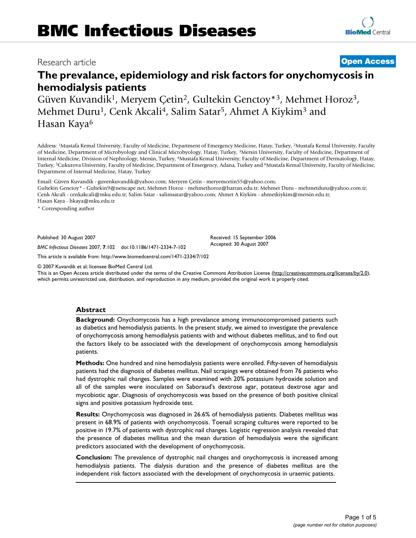# Research article **[Open Access](http://www.biomedcentral.com/info/about/charter/)**

# **The prevalance, epidemiology and risk factors for onychomycosis in hemodialysis patients**

Güven Kuvandik1, Meryem Çetin2, Gultekin Genctoy\*3, Mehmet Horoz3, Mehmet Duru<sup>1</sup>, Cenk Akcali<sup>4</sup>, Salim Satar<sup>5</sup>, Ahmet A Kiykim<sup>3</sup> and Hasan Kaya<sup>6</sup>

Address: 1Mustafa Kemal University, Faculty of Medicine, Department of Emergency Medicine, Hatay, Turkey, 2Mustafa Kemal University, Faculty of Medicine, Department of Microbyology and Clinical Microbyology, Hatay, Turkey, 3Mersin University, Faculty of Medicine, Department of Internal Medicine, Division of Nephrology, Mersin, Turkey, 4Mustafa Kemal University, Faculty of Medicine, Department of Dermatology, Hatay, Turkey, <sup>5</sup>Cukurova University, Faculty of Medicine, Department of Emergency, Adana, Turkey and <sup>6</sup>Mustafa Kemal University, Faculty of Medicine, Department of Internal Medicine, Hatay, Turkey

Email: Güven Kuvandik - guvenkuvandik@yahoo.com; Meryem Çetin - meryemcetin55@yahoo.com; Gultekin Genctoy\* - Gultekin9@netscape.net; Mehmet Horoz - mehmethoroz@harran.edu.tr; Mehmet Duru - mehmetduru@yahoo.com.tr; Cenk Akcali - cenkakcali@mku.edu.tr; Salim Satar - salimsatar@yahoo.com; Ahmet A Kiykim - ahmetkiykim@mersin.edu.tr; Hasan Kaya - hkaya@mku.edu.tr

\* Corresponding author

Published: 30 August 2007

*BMC Infectious Diseases* 2007, **7**:102 doi:10.1186/1471-2334-7-102

[This article is available from: http://www.biomedcentral.com/1471-2334/7/102](http://www.biomedcentral.com/1471-2334/7/102)

© 2007 Kuvandik et al; licensee BioMed Central Ltd.

This is an Open Access article distributed under the terms of the Creative Commons Attribution License [\(http://creativecommons.org/licenses/by/2.0\)](http://creativecommons.org/licenses/by/2.0), which permits unrestricted use, distribution, and reproduction in any medium, provided the original work is properly cited.

# **Abstract**

**Background:** Onychomycosis has a high prevalance among immunocompromised patients such as diabetics and hemodialysis patients. In the present study, we aimed to investigate the prevalence of onychomycosis among hemodialysis patients with and without diabetes mellitus, and to find out the factors likely to be associated with the development of onychomycosis among hemodialysis patients.

**Methods:** One hundred and nine hemodialysis patients were enrolled. Fifty-seven of hemodialysis patients had the diagnosis of diabetes mellitus. Nail scrapings were obtained from 76 patients who had dystrophic nail changes. Samples were examined with 20% potassium hydroxide solution and all of the samples were inoculated on Saboraud's dextrose agar, potateus dextrose agar and mycobiotic agar. Diagnosis of onychomycosis was based on the presence of both positive clinical signs and positive potassium hydroxide test.

**Results:** Onychomycosis was diagnosed in 26.6% of hemodialysis patients. Diabetes mellitus was present in 68.9% of patients with onychomycosis. Toenail scraping cultures were reported to be positive in 19.7% of patients with dystrophic nail changes. Logistic regression analysis revealed that the presence of diabetes mellitus and the mean duration of hemodialysis were the significant predictors associated with the development of onychomycosis.

**Conclusion:** The prevalence of dystrophic nail changes and onychomycosis is increased among hemodialysis patients. The dialysis duration and the presence of diabetes mellitus are the independent risk factors associated with the development of onychomycosis in uraemic patients.

Received: 15 September 2006 Accepted: 30 August 2007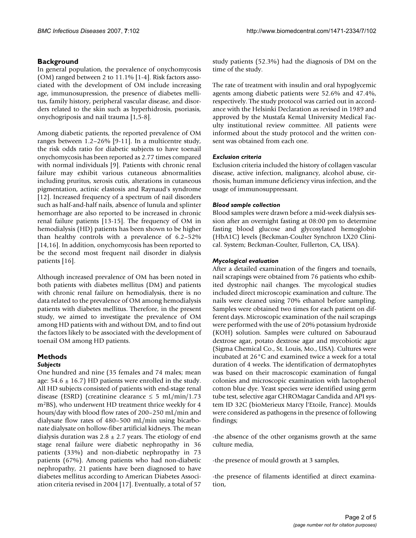# **Background**

In general population, the prevalence of onychomycosis (OM) ranged between 2 to 11.1% [1-4]. Risk factors associated with the development of OM include increasing age, immunosupression, the presence of diabetes mellitus, family history, peripheral vascular disease, and disorders related to the skin such as hyperhidrosis, psoriasis, onychogriposis and nail trauma [1,5-8].

Among diabetic patients, the reported prevalence of OM ranges between 1.2–26% [9-11]. In a multicentre study, the risk odds ratio for diabetic subjects to have toenail onychomycosis has been reported as 2.77 times compared with normal individuals [9]. Patients with chronic renal failure may exhibit various cutaneous abnormalities including pruritus, xerosis cutis, alterations in cutaneous pigmentation, actinic elastosis and Raynaud's syndrome [12]. Increased frequency of a spectrum of nail disorders such as half-and-half nails, absence of lunula and splinter hemorrhage are also reported to be increased in chronic renal failure patients [13-15]. The frequency of OM in hemodialysis (HD) patients has been shown to be higher than healthy controls with a prevalence of 6.2–52% [14,16]. In addition, onychomycosis has been reported to be the second most frequent nail disorder in dialysis patients [16].

Although increased prevalence of OM has been noted in both patients with diabetes mellitus (DM) and patients with chronic renal failure on hemodialysis, there is no data related to the prevalence of OM among hemodialysis patients with diabetes mellitus. Therefore, in the present study, we aimed to investigate the prevalence of OM among HD patients with and without DM, and to find out the factors likely to be associated with the development of toenail OM among HD patients.

## **Methods** *Subjects*

One hundred and nine (35 females and 74 males; mean age:  $54.6 \pm 16.7$  HD patients were enrolled in the study. All HD subjects consisted of patients with end-stage renal disease (ESRD) (creatinine clearance  $\leq$  5 mL/min/1.73 m2BS), who underwent HD treatment thrice weekly for 4 hours/day with blood flow rates of 200–250 mL/min and dialysate flow rates of 480–500 mL/min using bicarbonate dialysate on hollow-fiber artificial kidneys. The mean dialysis duration was  $2.8 \pm 2.7$  years. The etiology of end stage renal failure were diabetic nephropathy in 36 patients (33%) and non-diabetic nephropathy in 73 patients (67%). Among patients who had non-diabetic nephropathy, 21 patients have been diagnosed to have diabetes mellitus according to American Diabetes Association criteria revised in 2004 [17]. Eventually, a total of 57

study patients (52.3%) had the diagnosis of DM on the time of the study.

The rate of treatment with insulin and oral hypoglycemic agents among diabetic patients were 52.6% and 47.4%, respectively. The study protocol was carried out in accordance with the Helsinki Declaration as revised in 1989 and approved by the Mustafa Kemal University Medical Faculty institutional review committee. All patients were informed about the study protocol and the written consent was obtained from each one.

# *Exclusion criteria*

Exclusion criteria included the history of collagen vascular disease, active infection, malignancy, alcohol abuse, cirrhosis, human immune deficiency virus infection, and the usage of immunosuppressant.

# *Blood sample collection*

Blood samples were drawn before a mid-week dialysis session after an overnight fasting at 08:00 pm to determine fasting blood glucose and glycosylated hemoglobin (HbA1C) levels (Beckman-Coulter Synchron LX20 Clinical. System; Beckman-Coulter, Fullerton, CA, USA).

# *Mycological evaluation*

After a detailed examination of the fingers and toenails, nail scrapings were obtained from 76 patients who exhibited dystrophic nail changes. The mycological studies included direct microscopic examination and culture. The nails were cleaned using 70% ethanol before sampling. Samples were obtained two times for each patient on different days. Microscopic examination of the nail scrapings were performed with the use of 20% potassium hydroxide (KOH) solution. Samples were cultured on Sabouraud dextrose agar, potato dextrose agar and mycobiotic agar (Sigma Chemical Co., St. Louis, Mo., USA). Cultures were incubated at 26°C and examined twice a week for a total duration of 4 weeks. The identification of dermatophytes was based on their macroscopic examination of fungal colonies and microscopic examination with lactophenol cotton blue dye. Yeast species were identified using germ tube test, selective agar CHROMagar Candida and API system ID 32C (bioMerieux Marcy l'Etoile, France). Moulds were considered as pathogens in the presence of following findings;

-the absence of the other organisms growth at the same culture media,

-the presence of mould growth at 3 samples,

-the presence of filaments identified at direct examination,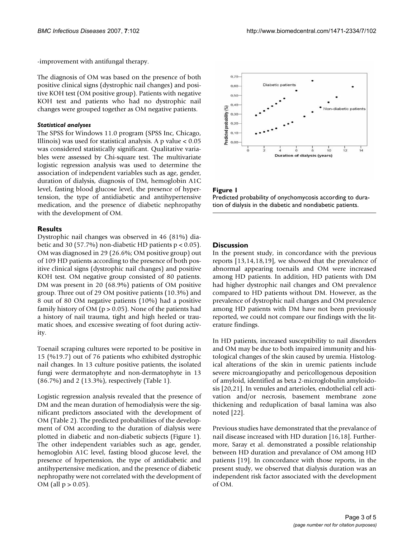-improvement with antifungal therapy.

The diagnosis of OM was based on the presence of both positive clinical signs (dystrophic nail changes) and positive KOH test (OM positive group). Patients with negative KOH test and patients who had no dystrophic nail changes were grouped together as OM negative patients.

#### *Statistical analyses*

The SPSS for Windows 11.0 program (SPSS Inc, Chicago, Illinois) was used for statistical analysis. A p value < 0.05 was considered statistically significant. Qualitative variables were assessed by Chi-square test. The multivariate logistic regression analysis was used to determine the association of independent variables such as age, gender, duration of dialysis, diagnosis of DM, hemoglobin A1C level, fasting blood glucose level, the presence of hypertension, the type of antidiabetic and antihypertensive medication, and the presence of diabetic nephropathy with the development of OM.

#### **Results**

Dystrophic nail changes was observed in 46 (81%) diabetic and 30 (57.7%) non-diabetic HD patients p < 0.05). OM was diagnosed in 29 (26.6%; OM positive group) out of 109 HD patients according to the presence of both positive clinical signs (dystrophic nail changes) and positive KOH test. OM negative group consisted of 80 patients. DM was present in 20 (68.9%) patients of OM positive group. Three out of 29 OM positive patients (10.3%) and 8 out of 80 OM negative patients (10%) had a positive family history of OM ( $p > 0.05$ ). None of the patients had a history of nail trauma, tight and high heeled or traumatic shoes, and excessive sweating of foot during activity.

Toenail scraping cultures were reported to be positive in 15 (%19.7) out of 76 patients who exhibited dystrophic nail changes. In 13 culture positive patients, the isolated fungi were dermatophyte and non-dermatophyte in 13 (86.7%) and 2 (13.3%), respectively (Table 1).

Logistic regression analysis revealed that the presence of DM and the mean duration of hemodialysis were the significant predictors associated with the development of OM (Table 2). The predicted probabilities of the development of OM according to the duration of dialysis were plotted in diabetic and non-diabetic subjects (Figure 1). The other independent variables such as age, gender, hemoglobin A1C level, fasting blood glucose level, the presence of hypertension, the type of antidiabetic and antihypertensive medication, and the presence of diabetic nephropathy were not correlated with the development of  $OM$  (all  $p > 0.05$ ).



#### Figure 1

Predicted probability of onychomycosis according to duration of dialysis in the diabetic and nondiabetic patients.

#### **Discussion**

In the present study, in concordance with the previous reports [13,14,18,19], we showed that the prevalence of abnormal appearing toenails and OM were increased among HD patients. In addition, HD patients with DM had higher dystrophic nail changes and OM prevalence compared to HD patients without DM. However, as the prevalence of dystrophic nail changes and OM prevalence among HD patients with DM have not been previously reported, we could not compare our findings with the literature findings.

In HD patients, increased susceptibility to nail disorders and OM may be due to both impaired immunity and histological changes of the skin caused by uremia. Histological alterations of the skin in uremic patients include severe microangiopathy and pericollogenous deposition of amyloid, identified as beta 2-microglobulin amyloidosis [20,21]. In venules and arterioles, endothelial cell activation and/or necrosis, basement membrane zone thickening and reduplication of basal lamina was also noted [22].

Previous studies have demonstrated that the prevalance of nail disease increased with HD duration [16,18]. Furthermore, Saray et al. demonstrated a possible relationship between HD duration and prevalance of OM among HD patients [19]. In concordance with those reports, in the present study, we observed that dialysis duration was an independent risk factor associated with the development of OM.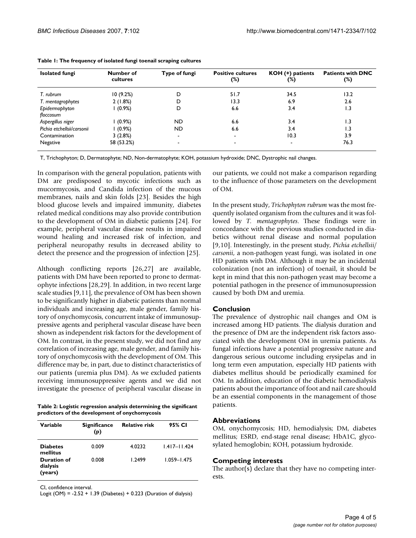| <b>Isolated fungi</b>      | Number of<br>cultures | Type of fungi | <b>Positive cultures</b><br>(%) | KOH (+) patients<br>(%) | <b>Patients with DNC</b><br>(%) |
|----------------------------|-----------------------|---------------|---------------------------------|-------------------------|---------------------------------|
| T. rubrum                  | 10(9.2%)              | D             | 51.7                            | 34.5                    | 13.2                            |
| T. mentagrophytes          | 2(1.8%)               | D             | 13.3                            | 6.9                     | 2.6                             |
| Epidermophyton             | $1(0.9\%)$            | D             | 6.6                             | 3.4                     | $\overline{1.3}$                |
| floccosum                  |                       |               |                                 |                         |                                 |
| Aspergillus niger          | $(0.9\%)$             | <b>ND</b>     | 6.6                             | 3.4                     | 3. ا                            |
| Pichia etchellsii/carsonii | $(0.9\%)$             | ND.           | 6.6                             | 3.4                     | 1.3                             |
| Contamination              | 3(2.8%)               |               | ۰                               | 10.3                    | 3.9                             |
| Negative                   | 58 (53.2%)            |               | ٠                               | ٠                       | 76.3                            |

|  | Table 1: The frequency of isolated fungi toenail scraping cultures |  |  |
|--|--------------------------------------------------------------------|--|--|
|  |                                                                    |  |  |

T, Trichophyton; D, Dermatophyte; ND, Non-dermatophyte; KOH, potassium hydroxide; DNC, Dystrophic nail changes.

In comparison with the general population, patients with DM are predisposed to mycotic infections such as mucormycosis, and Candida infection of the mucous membranes, nails and skin folds [23]. Besides the high blood glucose levels and impaired immunity, diabetes related medical conditions may also provide contribution to the development of OM in diabetic patients [24]. For example, peripheral vascular disease results in impaired wound healing and increased risk of infection, and peripheral neuropathy results in decreased ability to detect the presence and the progression of infection [25].

Although conflicting reports [26,27] are available, patients with DM have been reported to prone to dermatophyte infections [28,29]. In addition, in two recent large scale studies [9,11], the prevalence of OM has been shown to be significantly higher in diabetic patients than normal individuals and increasing age, male gender, family history of onychomycosis, concurrent intake of immunosuppressive agents and peripheral vascular disease have been shown as independent risk factors for the development of OM. In contrast, in the present study, we did not find any correlation of increasing age, male gender, and family history of onychomycosis with the development of OM. This difference may be, in part, due to distinct characteristics of our patients (uremia plus DM). As we excluded patients receiving immunosuppressive agents and we did not investigate the presence of peripheral vascular disease in

**Table 2: Logistic regression analysis determining the significant predictors of the development of onychomycosis**

| Variable                           | <b>Significance</b><br>(p) | <b>Relative risk</b> | 95% CI           |
|------------------------------------|----------------------------|----------------------|------------------|
| <b>Diabetes</b><br>mellitus        | 0.009                      | 4.0232               | $1.417 - 11.424$ |
| Duration of<br>dialysis<br>(years) | 0.008                      | 1.2499               | $1.059 - 1.475$  |

CI, confidence interval.

Logit (OM) = -2.52 + 1.39 (Diabetes) + 0.223 (Duration of dialysis)

our patients, we could not make a comparison regarding to the influence of those parameters on the development of OM.

In the present study, *Trichophyton rubrum* was the most frequently isolated organism from the cultures and it was followed by *T. mentagrophytes*. These findings were in concordance with the previous studies conducted in diabetics without renal disease and normal population [9,10]. Interestingly, in the present study, *Pichia etchellsii/ carsonii*, a non-pathogen yeast fungi, was isolated in one HD patients with DM. Although it may be an incidental colonization (not an infection) of toenail, it should be kept in mind that this non-pathogen yeast may become a potential pathogen in the presence of immunosupression caused by both DM and uremia.

# **Conclusion**

The prevalence of dystrophic nail changes and OM is increased among HD patients. The dialysis duration and the presence of DM are the independent risk factors associated with the development OM in uremia patients. As fungal infections have a potential progressive nature and dangerous serious outcome including erysipelas and in long term even amputation, especially HD patients with diabetes mellitus should be periodically examined for OM. In addition, education of the diabetic hemodialysis patients about the importance of foot and nail care should be an essential components in the management of those patients.

# **Abbreviations**

OM, onychomycosis; HD, hemodialysis; DM, diabetes mellitus; ESRD, end-stage renal disease; HbA1C, glycosylated hemoglobin; KOH, potassium hydroxide.

# **Competing interests**

The author(s) declare that they have no competing interests.